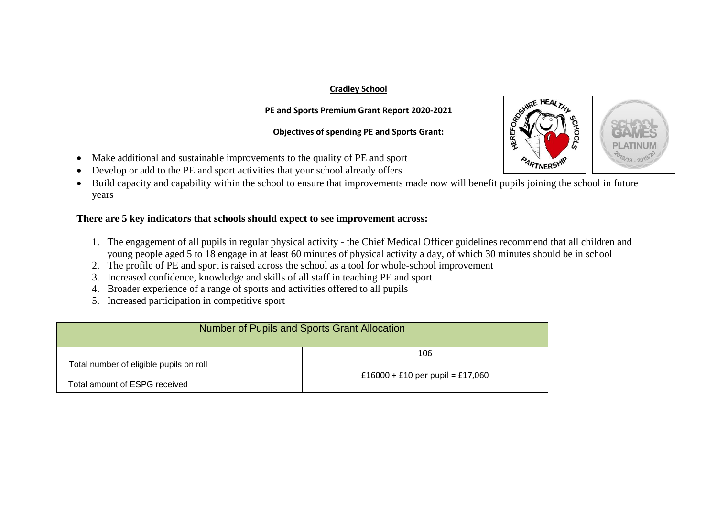## **Cradley School**

## **PE and Sports Premium Grant Report 2020-2021**

## **Objectives of spending PE and Sports Grant:**

- Make additional and sustainable improvements to the quality of PE and sport
- Develop or add to the PE and sport activities that your school already offers
- Build capacity and capability within the school to ensure that improvements made now will benefit pupils joining the school in future years

## **There are 5 key indicators that schools should expect to see improvement across:**

- 1. The engagement of all pupils in regular physical activity the Chief Medical Officer guidelines recommend that all children and young people aged 5 to 18 engage in at least 60 minutes of physical activity a day, of which 30 minutes should be in school
- 2. The profile of PE and sport is raised across the school as a tool for whole-school improvement
- 3. Increased confidence, knowledge and skills of all staff in teaching PE and sport
- 4. Broader experience of a range of sports and activities offered to all pupils
- 5. Increased participation in competitive sport

|                                         | Number of Pupils and Sports Grant Allocation |
|-----------------------------------------|----------------------------------------------|
| Total number of eligible pupils on roll | 106                                          |
| Total amount of ESPG received           | £16000 + £10 per pupil = £17,060             |

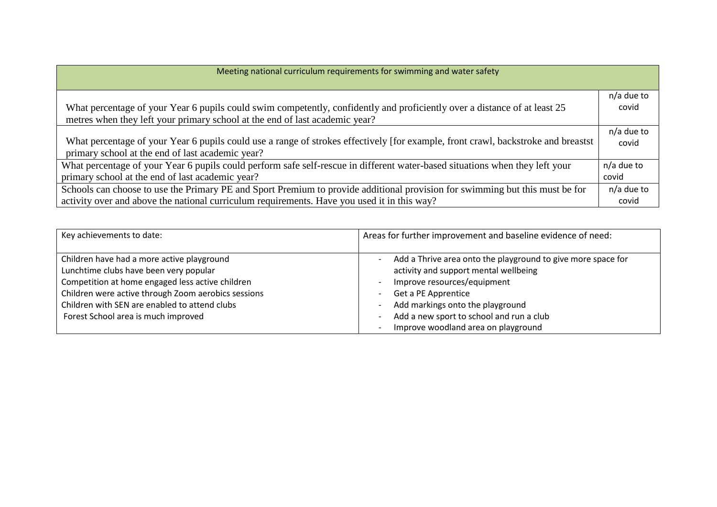| Meeting national curriculum requirements for swimming and water safety                                                            |            |  |  |  |
|-----------------------------------------------------------------------------------------------------------------------------------|------------|--|--|--|
|                                                                                                                                   |            |  |  |  |
|                                                                                                                                   | n/a due to |  |  |  |
| What percentage of your Year 6 pupils could swim competently, confidently and proficiently over a distance of at least 25         | covid      |  |  |  |
| metres when they left your primary school at the end of last academic year?                                                       |            |  |  |  |
|                                                                                                                                   | n/a due to |  |  |  |
| What percentage of your Year 6 pupils could use a range of strokes effectively [for example, front crawl, backstroke and breastst | covid      |  |  |  |
| primary school at the end of last academic year?                                                                                  |            |  |  |  |
| What percentage of your Year 6 pupils could perform safe self-rescue in different water-based situations when they left your      | n/a due to |  |  |  |
| primary school at the end of last academic year?                                                                                  | covid      |  |  |  |
| Schools can choose to use the Primary PE and Sport Premium to provide additional provision for swimming but this must be for      | n/a due to |  |  |  |
| activity over and above the national curriculum requirements. Have you used it in this way?                                       | covid      |  |  |  |

| Key achievements to date:                           | Areas for further improvement and baseline evidence of need: |
|-----------------------------------------------------|--------------------------------------------------------------|
|                                                     |                                                              |
| Children have had a more active playground          | Add a Thrive area onto the playground to give more space for |
| Lunchtime clubs have been very popular              | activity and support mental wellbeing                        |
| Competition at home engaged less active children    | Improve resources/equipment                                  |
| Children were active through Zoom aerobics sessions | Get a PE Apprentice                                          |
| Children with SEN are enabled to attend clubs       | Add markings onto the playground                             |
| Forest School area is much improved                 | Add a new sport to school and run a club                     |
|                                                     | Improve woodland area on playground                          |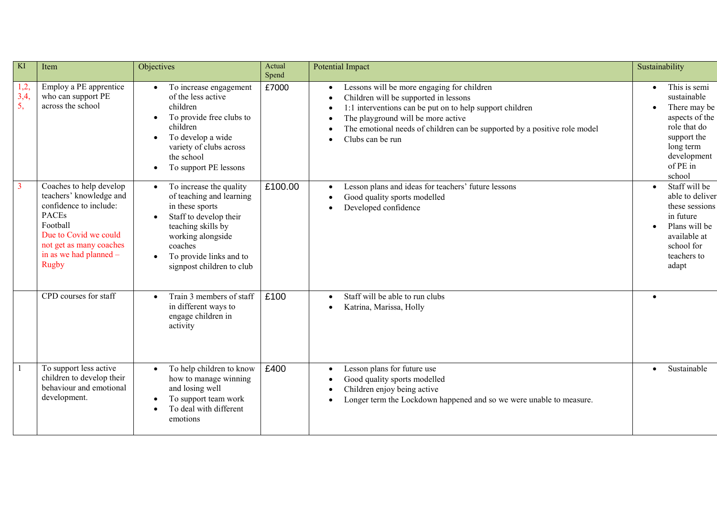| KI                | Item                                                                                                                                                                                                   | Objectives                                                                                                                                                                                                                               | Actual<br>Spend | <b>Potential Impact</b>                                                                                                                                                                                                                                                                | Sustainability                                                                                                                                      |
|-------------------|--------------------------------------------------------------------------------------------------------------------------------------------------------------------------------------------------------|------------------------------------------------------------------------------------------------------------------------------------------------------------------------------------------------------------------------------------------|-----------------|----------------------------------------------------------------------------------------------------------------------------------------------------------------------------------------------------------------------------------------------------------------------------------------|-----------------------------------------------------------------------------------------------------------------------------------------------------|
| 1,2,<br>3,4<br>5, | Employ a PE apprentice<br>who can support PE<br>across the school                                                                                                                                      | To increase engagement<br>$\bullet$<br>of the less active<br>children<br>To provide free clubs to<br>$\bullet$<br>children<br>To develop a wide<br>$\bullet$<br>variety of clubs across<br>the school<br>To support PE lessons           | £7000           | Lessons will be more engaging for children<br>Children will be supported in lessons<br>1:1 interventions can be put on to help support children<br>The playground will be more active<br>The emotional needs of children can be supported by a positive role model<br>Clubs can be run | This is semi<br>sustainable<br>There may be<br>aspects of the<br>role that do<br>support the<br>long term<br>development<br>of PE in<br>school      |
|                   | Coaches to help develop<br>teachers' knowledge and<br>confidence to include:<br><b>PACEs</b><br>Football<br>Due to Covid we could<br>not get as many coaches<br>in as we had planned -<br><b>Rugby</b> | To increase the quality<br>$\bullet$<br>of teaching and learning<br>in these sports<br>Staff to develop their<br>teaching skills by<br>working alongside<br>coaches<br>To provide links and to<br>$\bullet$<br>signpost children to club | £100.00         | Lesson plans and ideas for teachers' future lessons<br>Good quality sports modelled<br>Developed confidence                                                                                                                                                                            | Staff will be<br>$\bullet$<br>able to deliver<br>these sessions<br>in future<br>Plans will be<br>available at<br>school for<br>teachers to<br>adapt |
|                   | CPD courses for staff                                                                                                                                                                                  | Train 3 members of staff<br>$\bullet$<br>in different ways to<br>engage children in<br>activity                                                                                                                                          | £100            | Staff will be able to run clubs<br>Katrina, Marissa, Holly                                                                                                                                                                                                                             |                                                                                                                                                     |
|                   | To support less active<br>children to develop their<br>behaviour and emotional<br>development.                                                                                                         | To help children to know<br>$\bullet$<br>how to manage winning<br>and losing well<br>To support team work<br>To deal with different<br>emotions                                                                                          | £400            | Lesson plans for future use<br>Good quality sports modelled<br>Children enjoy being active<br>Longer term the Lockdown happened and so we were unable to measure.                                                                                                                      | Sustainable<br>$\bullet$                                                                                                                            |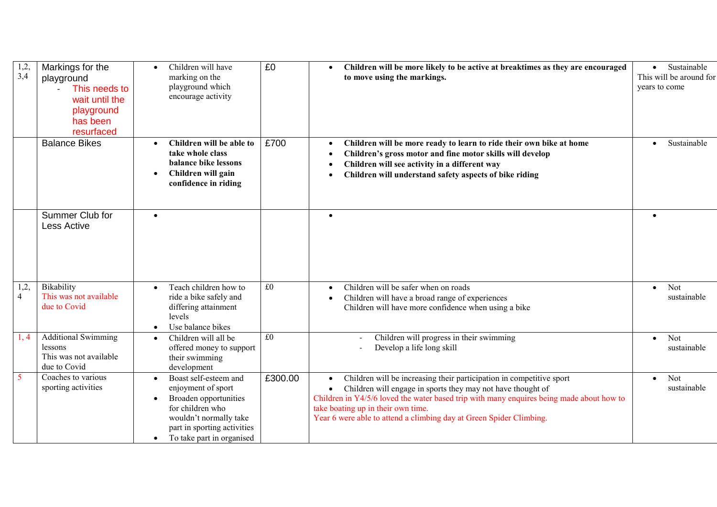| 1,2,<br>3,4            | Markings for the<br>playground<br>This needs to<br>$\overline{a}$<br>wait until the<br>playground<br>has been<br>resurfaced | Children will have<br>$\bullet$<br>marking on the<br>playground which<br>encourage activity                                                                                                 | £0      | Children will be more likely to be active at breaktimes as they are encouraged<br>to move using the markings.                                                                                                                                                                                                                                | Sustainable<br>$\bullet$<br>This will be around for<br>years to come |
|------------------------|-----------------------------------------------------------------------------------------------------------------------------|---------------------------------------------------------------------------------------------------------------------------------------------------------------------------------------------|---------|----------------------------------------------------------------------------------------------------------------------------------------------------------------------------------------------------------------------------------------------------------------------------------------------------------------------------------------------|----------------------------------------------------------------------|
|                        | <b>Balance Bikes</b>                                                                                                        | Children will be able to<br>take whole class<br>balance bike lessons<br>Children will gain<br>confidence in riding                                                                          | £700    | Children will be more ready to learn to ride their own bike at home<br>Children's gross motor and fine motor skills will develop<br>Children will see activity in a different way<br>Children will understand safety aspects of bike riding                                                                                                  | Sustainable                                                          |
|                        | Summer Club for<br><b>Less Active</b>                                                                                       | $\bullet$                                                                                                                                                                                   |         | $\bullet$                                                                                                                                                                                                                                                                                                                                    |                                                                      |
| 1,2,<br>$\overline{4}$ | Bikability<br>This was not available<br>due to Covid                                                                        | Teach children how to<br>$\bullet$<br>ride a bike safely and<br>differing attainment<br>levels<br>Use balance bikes                                                                         | £0      | Children will be safer when on roads<br>Children will have a broad range of experiences<br>Children will have more confidence when using a bike                                                                                                                                                                                              | Not<br>$\bullet$<br>sustainable                                      |
| 1, 4                   | <b>Additional Swimming</b><br>lessons<br>This was not available<br>due to Covid                                             | Children will all be<br>offered money to support<br>their swimming<br>development                                                                                                           | £0      | Children will progress in their swimming<br>Develop a life long skill                                                                                                                                                                                                                                                                        | Not<br>$\bullet$<br>sustainable                                      |
| $5^{\circ}$            | Coaches to various<br>sporting activities                                                                                   | Boast self-esteem and<br>enjoyment of sport<br>Broaden opportunities<br>for children who<br>wouldn't normally take<br>part in sporting activities<br>To take part in organised<br>$\bullet$ | £300.00 | Children will be increasing their participation in competitive sport<br>Children will engage in sports they may not have thought of<br>Children in Y4/5/6 loved the water based trip with many enquires being made about how to<br>take boating up in their own time.<br>Year 6 were able to attend a climbing day at Green Spider Climbing. | Not<br>$\bullet$<br>sustainable                                      |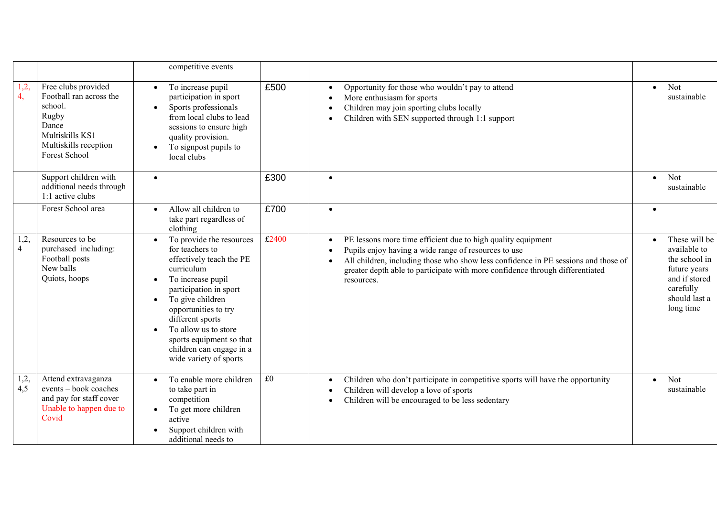|                        |                                                                                                                                          | competitive events                                                                                                                                                                                                                                                                                                                                                 |       |                                                                                                                                                                                                                                                                                                           |           |                                                                                                                            |
|------------------------|------------------------------------------------------------------------------------------------------------------------------------------|--------------------------------------------------------------------------------------------------------------------------------------------------------------------------------------------------------------------------------------------------------------------------------------------------------------------------------------------------------------------|-------|-----------------------------------------------------------------------------------------------------------------------------------------------------------------------------------------------------------------------------------------------------------------------------------------------------------|-----------|----------------------------------------------------------------------------------------------------------------------------|
| 1,2,<br>4,             | Free clubs provided<br>Football ran across the<br>school.<br>Rugby<br>Dance<br>Multiskills KS1<br>Multiskills reception<br>Forest School | To increase pupil<br>$\bullet$<br>participation in sport<br>Sports professionals<br>$\bullet$<br>from local clubs to lead<br>sessions to ensure high<br>quality provision.<br>To signpost pupils to<br>local clubs                                                                                                                                                 | £500  | Opportunity for those who wouldn't pay to attend<br>More enthusiasm for sports<br>Children may join sporting clubs locally<br>Children with SEN supported through 1:1 support                                                                                                                             | $\bullet$ | Not<br>sustainable                                                                                                         |
|                        | Support children with<br>additional needs through<br>1:1 active clubs                                                                    | $\bullet$                                                                                                                                                                                                                                                                                                                                                          | £300  | $\bullet$                                                                                                                                                                                                                                                                                                 | $\bullet$ | Not<br>sustainable                                                                                                         |
|                        | Forest School area                                                                                                                       | Allow all children to<br>$\bullet$<br>take part regardless of<br>clothing                                                                                                                                                                                                                                                                                          | £700  | $\bullet$                                                                                                                                                                                                                                                                                                 |           |                                                                                                                            |
| 1,2,<br>$\overline{4}$ | Resources to be<br>purchased including:<br>Football posts<br>New balls<br>Quiots, hoops                                                  | To provide the resources<br>$\bullet$<br>for teachers to<br>effectively teach the PE<br>curriculum<br>To increase pupil<br>$\bullet$<br>participation in sport<br>To give children<br>$\bullet$<br>opportunities to try<br>different sports<br>To allow us to store<br>$\bullet$<br>sports equipment so that<br>children can engage in a<br>wide variety of sports | £2400 | PE lessons more time efficient due to high quality equipment<br>Pupils enjoy having a wide range of resources to use<br>All children, including those who show less confidence in PE sessions and those of<br>greater depth able to participate with more confidence through differentiated<br>resources. | $\bullet$ | These will be<br>available to<br>the school in<br>future years<br>and if stored<br>carefully<br>should last a<br>long time |
| 1,2,<br>4,5            | Attend extravaganza<br>events - book coaches<br>and pay for staff cover<br>Unable to happen due to<br>Covid                              | To enable more children<br>to take part in<br>competition<br>To get more children<br>active<br>Support children with<br>additional needs to                                                                                                                                                                                                                        | £0    | Children who don't participate in competitive sports will have the opportunity<br>Children will develop a love of sports<br>Children will be encouraged to be less sedentary                                                                                                                              | $\bullet$ | Not<br>sustainable                                                                                                         |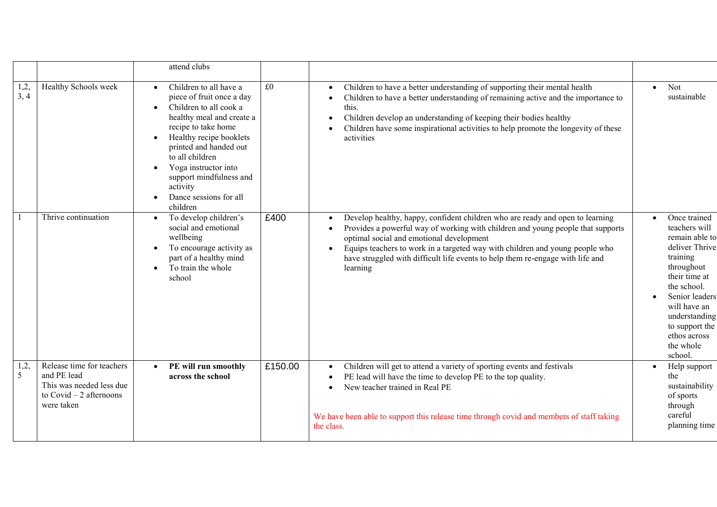|                        |                                                                                                                 | attend clubs                                                                                                                                                                                                                                                                                                                |         |                                                                                                                                                                                                                                                                                                                                                                                            |                                                                                                                                                                                                                                          |
|------------------------|-----------------------------------------------------------------------------------------------------------------|-----------------------------------------------------------------------------------------------------------------------------------------------------------------------------------------------------------------------------------------------------------------------------------------------------------------------------|---------|--------------------------------------------------------------------------------------------------------------------------------------------------------------------------------------------------------------------------------------------------------------------------------------------------------------------------------------------------------------------------------------------|------------------------------------------------------------------------------------------------------------------------------------------------------------------------------------------------------------------------------------------|
| $1,2,$<br>3, 4         | Healthy Schools week                                                                                            | Children to all have a<br>piece of fruit once a day<br>Children to all cook a<br>$\bullet$<br>healthy meal and create a<br>recipe to take home<br>Healthy recipe booklets<br>printed and handed out<br>to all children<br>Yoga instructor into<br>support mindfulness and<br>activity<br>Dance sessions for all<br>children | £0      | Children to have a better understanding of supporting their mental health<br>Children to have a better understanding of remaining active and the importance to<br>this.<br>Children develop an understanding of keeping their bodies healthy<br>Children have some inspirational activities to help promote the longevity of these<br>activities                                           | Not<br>$\bullet$<br>sustainable                                                                                                                                                                                                          |
|                        | Thrive continuation                                                                                             | To develop children's<br>social and emotional<br>wellbeing<br>To encourage activity as<br>part of a healthy mind<br>To train the whole<br>$\bullet$<br>school                                                                                                                                                               | £400    | Develop healthy, happy, confident children who are ready and open to learning<br>Provides a powerful way of working with children and young people that supports<br>optimal social and emotional development<br>Equips teachers to work in a targeted way with children and young people who<br>have struggled with difficult life events to help them re-engage with life and<br>learning | Once trained<br>teachers will<br>remain able to<br>deliver Thrive<br>training<br>throughout<br>their time at<br>the school.<br>Senior leaders<br>will have an<br>understanding<br>to support the<br>ethos across<br>the whole<br>school. |
| 1,2,<br>5 <sup>5</sup> | Release time for teachers<br>and PE lead<br>This was needed less due<br>to $Covid - 2$ afternoons<br>were taken | PE will run smoothly<br>$\bullet$<br>across the school                                                                                                                                                                                                                                                                      | £150.00 | Children will get to attend a variety of sporting events and festivals<br>PE lead will have the time to develop PE to the top quality.<br>New teacher trained in Real PE<br>We have been able to support this release time through covid and members of staff taking<br>the class.                                                                                                         | Help support<br>the<br>sustainability<br>of sports<br>through<br>careful<br>planning time                                                                                                                                                |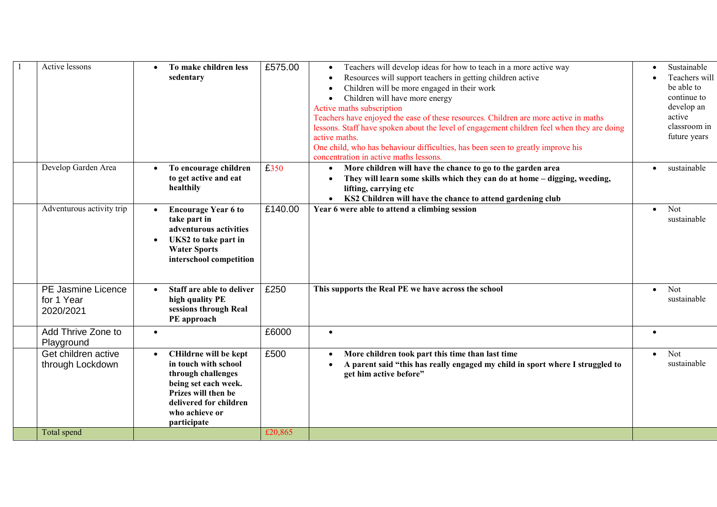| <b>Active lessons</b>                                | To make children less<br>sedentary                                                                                                                                                         | £575.00 | Teachers will develop ideas for how to teach in a more active way<br>Resources will support teachers in getting children active<br>Children will be more engaged in their work<br>Children will have more energy<br>Active maths subscription<br>Teachers have enjoyed the ease of these resources. Children are more active in maths<br>lessons. Staff have spoken about the level of engagement children feel when they are doing<br>active maths.<br>One child, who has behaviour difficulties, has been seen to greatly improve his<br>concentration in active maths lessons. |           | Sustainable<br>Teachers will<br>be able to<br>continue to<br>develop an<br>active<br>classroom in<br>future years |
|------------------------------------------------------|--------------------------------------------------------------------------------------------------------------------------------------------------------------------------------------------|---------|-----------------------------------------------------------------------------------------------------------------------------------------------------------------------------------------------------------------------------------------------------------------------------------------------------------------------------------------------------------------------------------------------------------------------------------------------------------------------------------------------------------------------------------------------------------------------------------|-----------|-------------------------------------------------------------------------------------------------------------------|
| Develop Garden Area                                  | To encourage children<br>$\bullet$<br>to get active and eat<br>healthily                                                                                                                   | £350    | More children will have the chance to go to the garden area<br>They will learn some skills which they can do at home - digging, weeding,<br>lifting, carrying etc<br>KS2 Children will have the chance to attend gardening club                                                                                                                                                                                                                                                                                                                                                   |           | sustainable                                                                                                       |
| Adventurous activity trip                            | <b>Encourage Year 6 to</b><br>take part in<br>adventurous activities<br>UKS2 to take part in<br><b>Water Sports</b><br>interschool competition                                             | £140.00 | Year 6 were able to attend a climbing session                                                                                                                                                                                                                                                                                                                                                                                                                                                                                                                                     | $\bullet$ | Not<br>sustainable                                                                                                |
| <b>PE Jasmine Licence</b><br>for 1 Year<br>2020/2021 | Staff are able to deliver<br>high quality PE<br>sessions through Real<br>PE approach                                                                                                       | £250    | This supports the Real PE we have across the school                                                                                                                                                                                                                                                                                                                                                                                                                                                                                                                               | $\bullet$ | Not<br>sustainable                                                                                                |
| Add Thrive Zone to<br>Playground                     | $\bullet$                                                                                                                                                                                  | £6000   | $\bullet$                                                                                                                                                                                                                                                                                                                                                                                                                                                                                                                                                                         | $\bullet$ |                                                                                                                   |
| Get children active<br>through Lockdown              | CHildrne will be kept<br>$\bullet$<br>in touch with school<br>through challenges<br>being set each week.<br>Prizes will then be<br>delivered for children<br>who achieve or<br>participate | £500    | More children took part this time than last time<br>A parent said "this has really engaged my child in sport where I struggled to<br>get him active before"                                                                                                                                                                                                                                                                                                                                                                                                                       | $\bullet$ | Not<br>sustainable                                                                                                |
| Total spend                                          |                                                                                                                                                                                            | £20,865 |                                                                                                                                                                                                                                                                                                                                                                                                                                                                                                                                                                                   |           |                                                                                                                   |